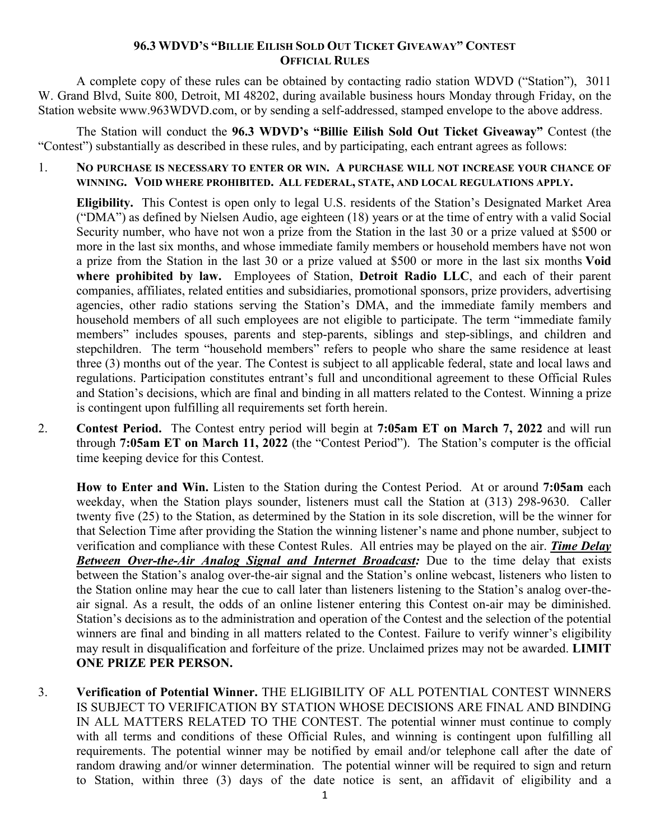## **96.3 WDVD'S "BILLIE EILISH SOLD OUT TICKET GIVEAWAY" CONTEST OFFICIAL RULES**

A complete copy of these rules can be obtained by contacting radio station WDVD ("Station"), 3011 W. Grand Blvd, Suite 800, Detroit, MI 48202, during available business hours Monday through Friday, on the Station website www.963WDVD.com, or by sending a self-addressed, stamped envelope to the above address.

The Station will conduct the **96.3 WDVD's "Billie Eilish Sold Out Ticket Giveaway"** Contest (the "Contest") substantially as described in these rules, and by participating, each entrant agrees as follows:

1. **NO PURCHASE IS NECESSARY TO ENTER OR WIN. A PURCHASE WILL NOT INCREASE YOUR CHANCE OF WINNING. VOID WHERE PROHIBITED. ALL FEDERAL, STATE, AND LOCAL REGULATIONS APPLY.**

**Eligibility.** This Contest is open only to legal U.S. residents of the Station's Designated Market Area ("DMA") as defined by Nielsen Audio, age eighteen (18) years or at the time of entry with a valid Social Security number, who have not won a prize from the Station in the last 30 or a prize valued at \$500 or more in the last six months, and whose immediate family members or household members have not won a prize from the Station in the last 30 or a prize valued at \$500 or more in the last six months **Void where prohibited by law.** Employees of Station, **Detroit Radio LLC**, and each of their parent companies, affiliates, related entities and subsidiaries, promotional sponsors, prize providers, advertising agencies, other radio stations serving the Station's DMA, and the immediate family members and household members of all such employees are not eligible to participate. The term "immediate family members" includes spouses, parents and step-parents, siblings and step-siblings, and children and stepchildren. The term "household members" refers to people who share the same residence at least three (3) months out of the year. The Contest is subject to all applicable federal, state and local laws and regulations. Participation constitutes entrant's full and unconditional agreement to these Official Rules and Station's decisions, which are final and binding in all matters related to the Contest. Winning a prize is contingent upon fulfilling all requirements set forth herein.

2. **Contest Period.** The Contest entry period will begin at **7:05am ET on March 7, 2022** and will run through **7:05am ET on March 11, 2022** (the "Contest Period"). The Station's computer is the official time keeping device for this Contest.

**How to Enter and Win.** Listen to the Station during the Contest Period. At or around **7:05am** each weekday, when the Station plays sounder, listeners must call the Station at (313) 298-9630. Caller twenty five (25) to the Station, as determined by the Station in its sole discretion, will be the winner for that Selection Time after providing the Station the winning listener's name and phone number, subject to verification and compliance with these Contest Rules. All entries may be played on the air. *Time Delay Between Over-the-Air Analog Signal and Internet Broadcast:* Due to the time delay that exists between the Station's analog over-the-air signal and the Station's online webcast, listeners who listen to the Station online may hear the cue to call later than listeners listening to the Station's analog over-theair signal. As a result, the odds of an online listener entering this Contest on-air may be diminished. Station's decisions as to the administration and operation of the Contest and the selection of the potential winners are final and binding in all matters related to the Contest. Failure to verify winner's eligibility may result in disqualification and forfeiture of the prize. Unclaimed prizes may not be awarded. **LIMIT ONE PRIZE PER PERSON.**

3. **Verification of Potential Winner.** THE ELIGIBILITY OF ALL POTENTIAL CONTEST WINNERS IS SUBJECT TO VERIFICATION BY STATION WHOSE DECISIONS ARE FINAL AND BINDING IN ALL MATTERS RELATED TO THE CONTEST. The potential winner must continue to comply with all terms and conditions of these Official Rules, and winning is contingent upon fulfilling all requirements. The potential winner may be notified by email and/or telephone call after the date of random drawing and/or winner determination. The potential winner will be required to sign and return to Station, within three (3) days of the date notice is sent, an affidavit of eligibility and a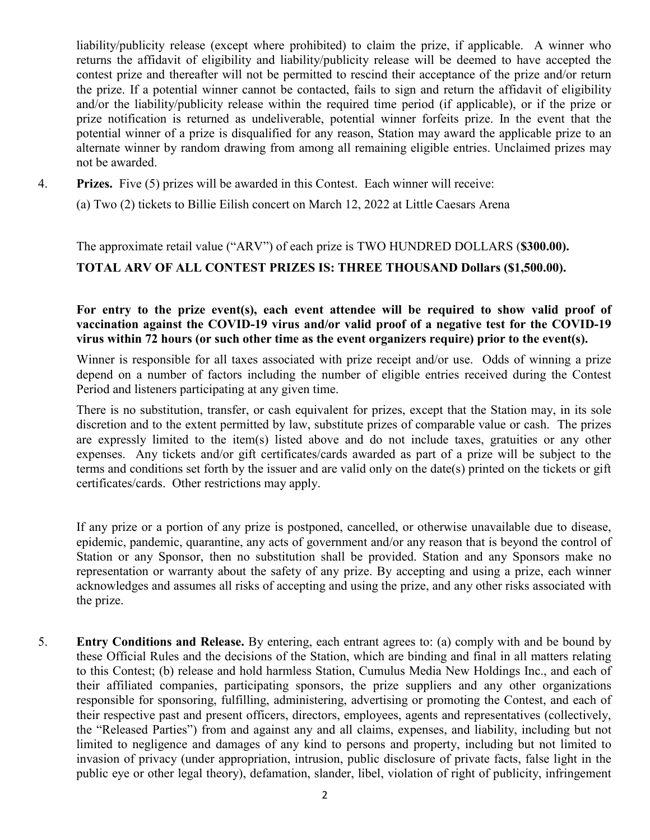liability/publicity release (except where prohibited) to claim the prize, if applicable. A winner who returns the affidavit of eligibility and liability/publicity release will be deemed to have accepted the contest prize and thereafter will not be permitted to rescind their acceptance of the prize and/or return the prize. If a potential winner cannot be contacted, fails to sign and return the affidavit of eligibility and/or the liability/publicity release within the required time period (if applicable), or if the prize or prize notification is returned as undeliverable, potential winner forfeits prize. In the event that the potential winner of a prize is disqualified for any reason, Station may award the applicable prize to an alternate winner by random drawing from among all remaining eligible entries. Unclaimed prizes may not be awarded.

4. **Prizes.** Five (5) prizes will be awarded in this Contest. Each winner will receive:

(a) Two (2) tickets to Billie Eilish concert on March 12, 2022 at Little Caesars Arena

## The approximate retail value ("ARV") of each prize is TWO HUNDRED DOLLARS (**\$300.00). TOTAL ARV OF ALL CONTEST PRIZES IS: THREE THOUSAND Dollars (\$1,500.00).**

## For entry to the prize event(s), each event attendee will be required to show valid proof of **vaccination against the COVID-19 virus and/or valid proof of a negative test for the COVID-19 virus within 72 hours (or such other time as the event organizers require) prior to the event(s).**

Winner is responsible for all taxes associated with prize receipt and/or use. Odds of winning a prize depend on a number of factors including the number of eligible entries received during the Contest Period and listeners participating at any given time.

There is no substitution, transfer, or cash equivalent for prizes, except that the Station may, in its sole discretion and to the extent permitted by law, substitute prizes of comparable value or cash. The prizes are expressly limited to the item(s) listed above and do not include taxes, gratuities or any other expenses. Any tickets and/or gift certificates/cards awarded as part of a prize will be subject to the terms and conditions set forth by the issuer and are valid only on the date(s) printed on the tickets or gift certificates/cards. Other restrictions may apply.

If any prize or a portion of any prize is postponed, cancelled, or otherwise unavailable due to disease, epidemic, pandemic, quarantine, any acts of government and/or any reason that is beyond the control of Station or any Sponsor, then no substitution shall be provided. Station and any Sponsors make no representation or warranty about the safety of any prize. By accepting and using a prize, each winner acknowledges and assumes all risks of accepting and using the prize, and any other risks associated with the prize.

5. **Entry Conditions and Release.** By entering, each entrant agrees to: (a) comply with and be bound by these Official Rules and the decisions of the Station, which are binding and final in all matters relating to this Contest; (b) release and hold harmless Station, Cumulus Media New Holdings Inc., and each of their affiliated companies, participating sponsors, the prize suppliers and any other organizations responsible for sponsoring, fulfilling, administering, advertising or promoting the Contest, and each of their respective past and present officers, directors, employees, agents and representatives (collectively, the "Released Parties") from and against any and all claims, expenses, and liability, including but not limited to negligence and damages of any kind to persons and property, including but not limited to invasion of privacy (under appropriation, intrusion, public disclosure of private facts, false light in the public eye or other legal theory), defamation, slander, libel, violation of right of publicity, infringement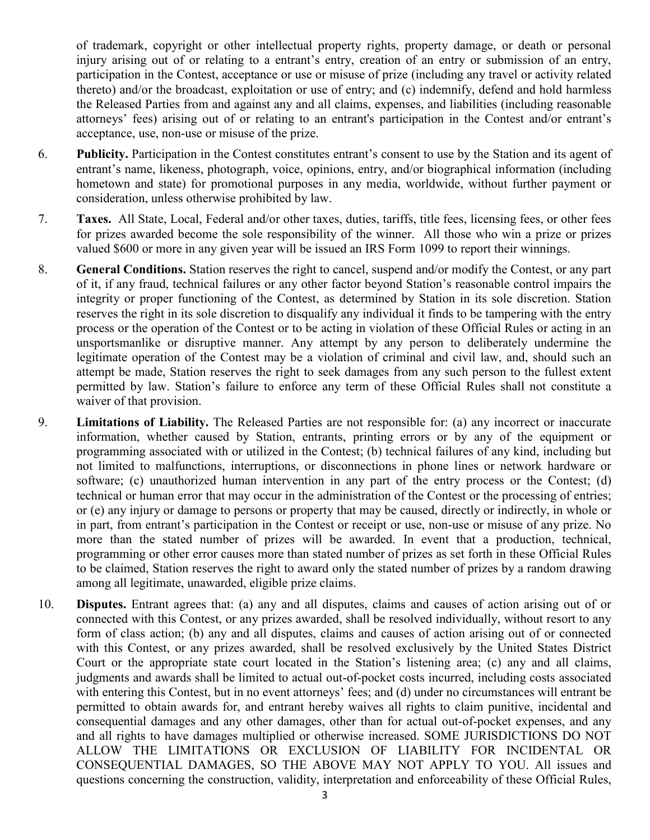of trademark, copyright or other intellectual property rights, property damage, or death or personal injury arising out of or relating to a entrant's entry, creation of an entry or submission of an entry, participation in the Contest, acceptance or use or misuse of prize (including any travel or activity related thereto) and/or the broadcast, exploitation or use of entry; and (c) indemnify, defend and hold harmless the Released Parties from and against any and all claims, expenses, and liabilities (including reasonable attorneys' fees) arising out of or relating to an entrant's participation in the Contest and/or entrant's acceptance, use, non-use or misuse of the prize.

- 6. **Publicity.** Participation in the Contest constitutes entrant's consent to use by the Station and its agent of entrant's name, likeness, photograph, voice, opinions, entry, and/or biographical information (including hometown and state) for promotional purposes in any media, worldwide, without further payment or consideration, unless otherwise prohibited by law.
- 7. **Taxes.** All State, Local, Federal and/or other taxes, duties, tariffs, title fees, licensing fees, or other fees for prizes awarded become the sole responsibility of the winner. All those who win a prize or prizes valued \$600 or more in any given year will be issued an IRS Form 1099 to report their winnings.
- 8. **General Conditions.** Station reserves the right to cancel, suspend and/or modify the Contest, or any part of it, if any fraud, technical failures or any other factor beyond Station's reasonable control impairs the integrity or proper functioning of the Contest, as determined by Station in its sole discretion. Station reserves the right in its sole discretion to disqualify any individual it finds to be tampering with the entry process or the operation of the Contest or to be acting in violation of these Official Rules or acting in an unsportsmanlike or disruptive manner. Any attempt by any person to deliberately undermine the legitimate operation of the Contest may be a violation of criminal and civil law, and, should such an attempt be made, Station reserves the right to seek damages from any such person to the fullest extent permitted by law. Station's failure to enforce any term of these Official Rules shall not constitute a waiver of that provision.
- 9. **Limitations of Liability.** The Released Parties are not responsible for: (a) any incorrect or inaccurate information, whether caused by Station, entrants, printing errors or by any of the equipment or programming associated with or utilized in the Contest; (b) technical failures of any kind, including but not limited to malfunctions, interruptions, or disconnections in phone lines or network hardware or software; (c) unauthorized human intervention in any part of the entry process or the Contest; (d) technical or human error that may occur in the administration of the Contest or the processing of entries; or (e) any injury or damage to persons or property that may be caused, directly or indirectly, in whole or in part, from entrant's participation in the Contest or receipt or use, non-use or misuse of any prize. No more than the stated number of prizes will be awarded. In event that a production, technical, programming or other error causes more than stated number of prizes as set forth in these Official Rules to be claimed, Station reserves the right to award only the stated number of prizes by a random drawing among all legitimate, unawarded, eligible prize claims.
- 10. **Disputes.** Entrant agrees that: (a) any and all disputes, claims and causes of action arising out of or connected with this Contest, or any prizes awarded, shall be resolved individually, without resort to any form of class action; (b) any and all disputes, claims and causes of action arising out of or connected with this Contest, or any prizes awarded, shall be resolved exclusively by the United States District Court or the appropriate state court located in the Station's listening area; (c) any and all claims, judgments and awards shall be limited to actual out-of-pocket costs incurred, including costs associated with entering this Contest, but in no event attorneys' fees; and (d) under no circumstances will entrant be permitted to obtain awards for, and entrant hereby waives all rights to claim punitive, incidental and consequential damages and any other damages, other than for actual out-of-pocket expenses, and any and all rights to have damages multiplied or otherwise increased. SOME JURISDICTIONS DO NOT ALLOW THE LIMITATIONS OR EXCLUSION OF LIABILITY FOR INCIDENTAL OR CONSEQUENTIAL DAMAGES, SO THE ABOVE MAY NOT APPLY TO YOU. All issues and questions concerning the construction, validity, interpretation and enforceability of these Official Rules,